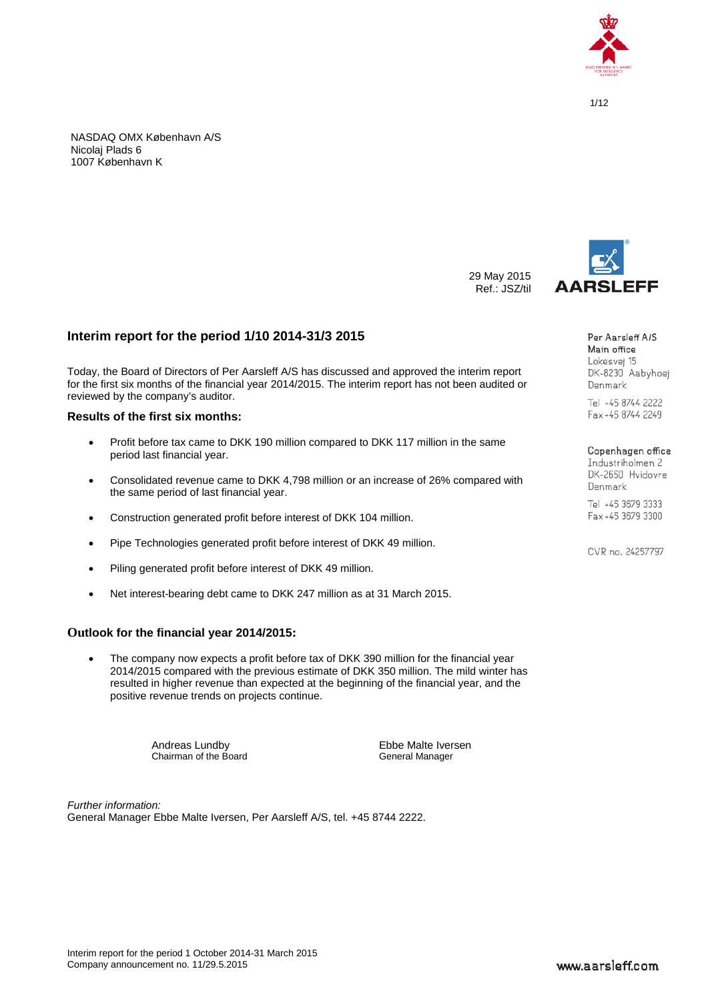

NASDAQ OMX København A/S Nicolaj Plads 6 1007 København K



29 May 2015 Ref.: JSZ/til

> Per Aarsleff A/S Main office Lokesvei 15 DK-8230 Aabyhoei Denmark

Tel +45 8744 2222 Fax +45 8744 2249

#### Copenhagen office

Industriholmen 2 DK-2650 Hvidovre Denmark

Tel +45 3679 3333 Fax +45 3679 3300

CVR no. 24257797

# **Interim report for the period 1/10 2014-31/3 2015**

Today, the Board of Directors of Per Aarsleff A/S has discussed and approved the interim report for the first six months of the financial year 2014/2015. The interim report has not been audited or reviewed by the company's auditor.

# **Results of the first six months:**

- Profit before tax came to DKK 190 million compared to DKK 117 million in the same period last financial year.
- Consolidated revenue came to DKK 4,798 million or an increase of 26% compared with the same period of last financial year.
- Construction generated profit before interest of DKK 104 million.
- Pipe Technologies generated profit before interest of DKK 49 million.
- Piling generated profit before interest of DKK 49 million.
- Net interest-bearing debt came to DKK 247 million as at 31 March 2015.

# **Outlook for the financial year 2014/2015:**

• The company now expects a profit before tax of DKK 390 million for the financial year 2014/2015 compared with the previous estimate of DKK 350 million. The mild winter has resulted in higher revenue than expected at the beginning of the financial year, and the positive revenue trends on projects continue.

> Andreas Lundby<br>
> Chairman of the Board<br>
> Ceneral Manager Chairman of the Board

*Further information:* General Manager Ebbe Malte Iversen, Per Aarsleff A/S, tel. +45 8744 2222.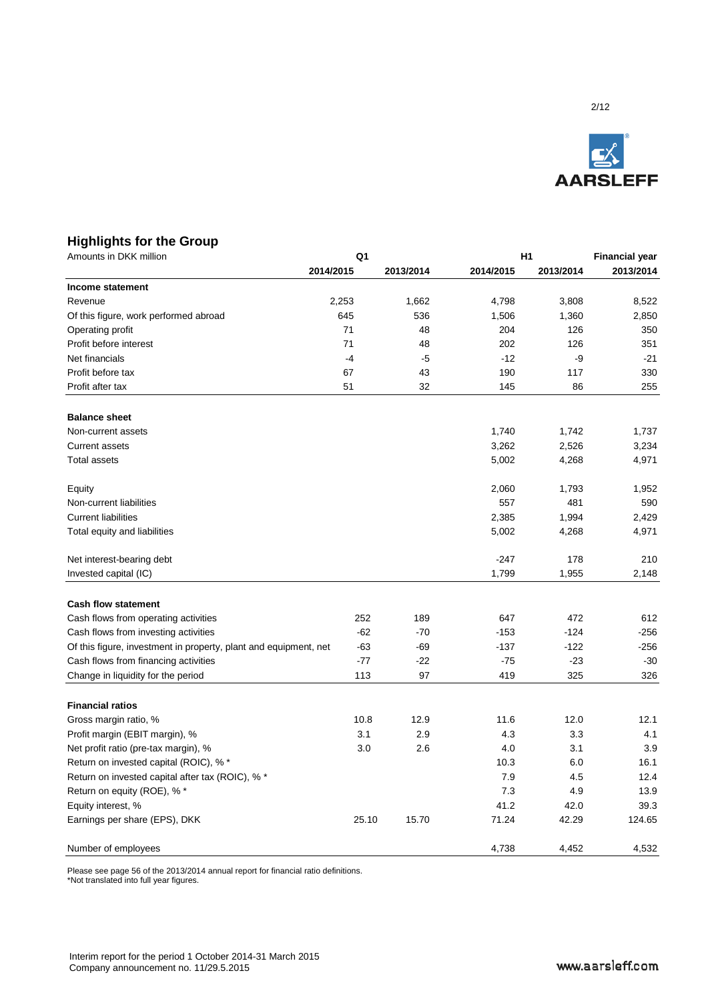

# **Highlights for the Group**

| Amounts in DKK million                                           | Q1    |           |           | H1        |           |  |
|------------------------------------------------------------------|-------|-----------|-----------|-----------|-----------|--|
| 2014/2015                                                        |       | 2013/2014 | 2014/2015 | 2013/2014 | 2013/2014 |  |
| Income statement                                                 |       |           |           |           |           |  |
| Revenue                                                          | 2,253 | 1,662     | 4,798     | 3,808     | 8,522     |  |
| Of this figure, work performed abroad                            | 645   | 536       | 1,506     | 1,360     | 2,850     |  |
| Operating profit                                                 | 71    | 48        | 204       | 126       | 350       |  |
| Profit before interest                                           | 71    | 48        | 202       | 126       | 351       |  |
| Net financials                                                   | $-4$  | $-5$      | $-12$     | -9        | $-21$     |  |
| Profit before tax                                                | 67    | 43        | 190       | 117       | 330       |  |
| Profit after tax                                                 | 51    | 32        | 145       | 86        | 255       |  |
| <b>Balance sheet</b>                                             |       |           |           |           |           |  |
| Non-current assets                                               |       |           | 1,740     | 1,742     | 1,737     |  |
| <b>Current assets</b>                                            |       |           | 3,262     | 2,526     | 3,234     |  |
| <b>Total assets</b>                                              |       |           | 5,002     | 4,268     | 4,971     |  |
| Equity                                                           |       |           | 2,060     | 1,793     | 1,952     |  |
| Non-current liabilities                                          |       |           | 557       | 481       | 590       |  |
| <b>Current liabilities</b>                                       |       |           | 2,385     | 1,994     | 2,429     |  |
| Total equity and liabilities                                     |       |           | 5,002     | 4,268     | 4,971     |  |
| Net interest-bearing debt                                        |       |           | $-247$    | 178       | 210       |  |
| Invested capital (IC)                                            |       |           | 1,799     | 1,955     | 2,148     |  |
| <b>Cash flow statement</b>                                       |       |           |           |           |           |  |
| Cash flows from operating activities                             | 252   | 189       | 647       | 472       | 612       |  |
| Cash flows from investing activities                             | $-62$ | $-70$     | $-153$    | $-124$    | $-256$    |  |
| Of this figure, investment in property, plant and equipment, net | $-63$ | $-69$     | $-137$    | $-122$    | $-256$    |  |
| Cash flows from financing activities                             | $-77$ | $-22$     | $-75$     | $-23$     | $-30$     |  |
| Change in liquidity for the period                               | 113   | 97        | 419       | 325       | 326       |  |
| <b>Financial ratios</b>                                          |       |           |           |           |           |  |
| Gross margin ratio, %                                            | 10.8  | 12.9      | 11.6      | 12.0      | 12.1      |  |
| Profit margin (EBIT margin), %                                   | 3.1   | 2.9       | 4.3       | 3.3       | 4.1       |  |
| Net profit ratio (pre-tax margin), %                             | 3.0   | 2.6       | 4.0       | 3.1       | 3.9       |  |
| Return on invested capital (ROIC), % *                           |       |           | 10.3      | 6.0       | 16.1      |  |
| Return on invested capital after tax (ROIC), % *                 |       |           | 7.9       | 4.5       | 12.4      |  |
| Return on equity (ROE), % *                                      |       |           | 7.3       | 4.9       | 13.9      |  |
| Equity interest, %                                               |       |           | 41.2      | 42.0      | 39.3      |  |
| Earnings per share (EPS), DKK                                    | 25.10 | 15.70     | 71.24     | 42.29     | 124.65    |  |
| Number of employees                                              |       |           | 4,738     | 4,452     | 4,532     |  |

Please see page 56 of the 2013/2014 annual report for financial ratio definitions.

\*Not translated into full year figures.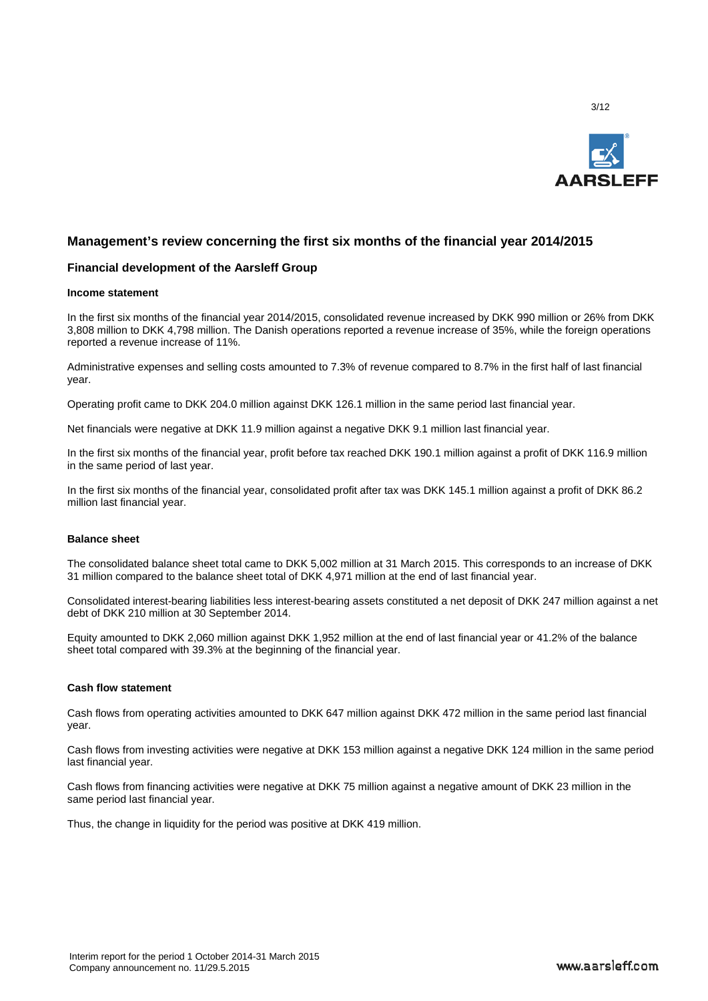

# **Management's review concerning the first six months of the financial year 2014/2015**

#### **Financial development of the Aarsleff Group**

#### **Income statement**

In the first six months of the financial year 2014/2015, consolidated revenue increased by DKK 990 million or 26% from DKK 3,808 million to DKK 4,798 million. The Danish operations reported a revenue increase of 35%, while the foreign operations reported a revenue increase of 11%.

Administrative expenses and selling costs amounted to 7.3% of revenue compared to 8.7% in the first half of last financial year.

Operating profit came to DKK 204.0 million against DKK 126.1 million in the same period last financial year.

Net financials were negative at DKK 11.9 million against a negative DKK 9.1 million last financial year.

In the first six months of the financial year, profit before tax reached DKK 190.1 million against a profit of DKK 116.9 million in the same period of last year.

In the first six months of the financial year, consolidated profit after tax was DKK 145.1 million against a profit of DKK 86.2 million last financial year.

#### **Balance sheet**

The consolidated balance sheet total came to DKK 5,002 million at 31 March 2015. This corresponds to an increase of DKK 31 million compared to the balance sheet total of DKK 4,971 million at the end of last financial year.

Consolidated interest-bearing liabilities less interest-bearing assets constituted a net deposit of DKK 247 million against a net debt of DKK 210 million at 30 September 2014.

Equity amounted to DKK 2,060 million against DKK 1,952 million at the end of last financial year or 41.2% of the balance sheet total compared with 39.3% at the beginning of the financial year.

#### **Cash flow statement**

Cash flows from operating activities amounted to DKK 647 million against DKK 472 million in the same period last financial year.

Cash flows from investing activities were negative at DKK 153 million against a negative DKK 124 million in the same period last financial year.

Cash flows from financing activities were negative at DKK 75 million against a negative amount of DKK 23 million in the same period last financial year.

Thus, the change in liquidity for the period was positive at DKK 419 million.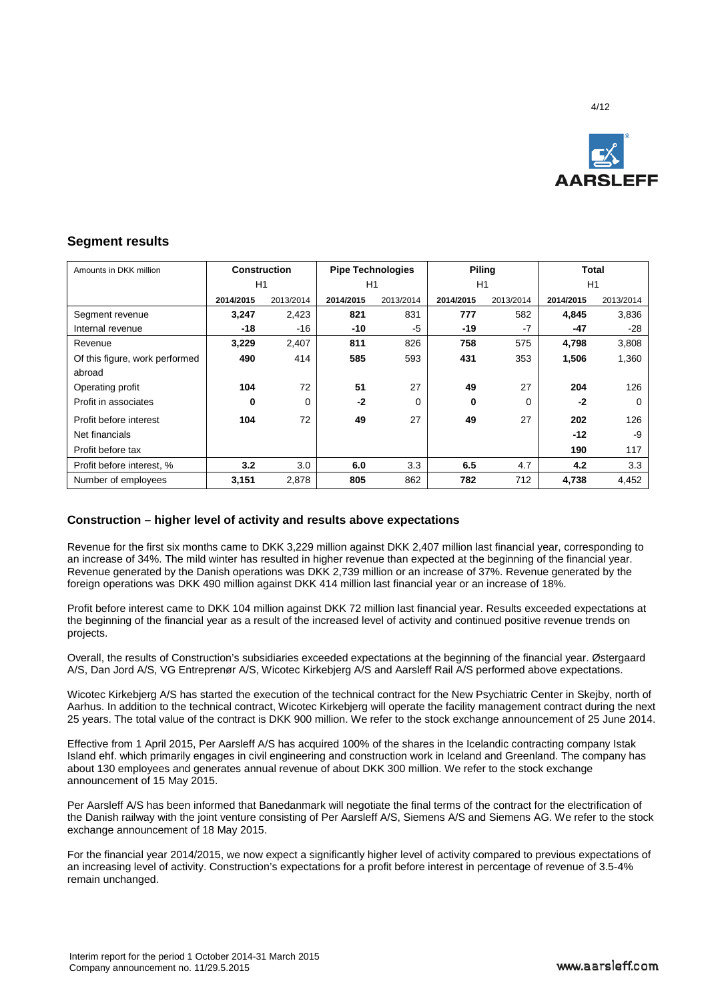

# **Segment results**

| Amounts in DKK million         | <b>Construction</b> |           | <b>Pipe Technologies</b> |           | <b>Piling</b> |           | Total     |           |
|--------------------------------|---------------------|-----------|--------------------------|-----------|---------------|-----------|-----------|-----------|
|                                | H1                  |           | H1                       |           | H1            |           | H1        |           |
|                                | 2014/2015           | 2013/2014 | 2014/2015                | 2013/2014 | 2014/2015     | 2013/2014 | 2014/2015 | 2013/2014 |
| Segment revenue                | 3,247               | 2,423     | 821                      | 831       | 777           | 582       | 4,845     | 3,836     |
| Internal revenue               | $-18$               | $-16$     | -10                      | -5        | $-19$         | $-7$      | -47       | -28       |
| Revenue                        | 3,229               | 2,407     | 811                      | 826       | 758           | 575       | 4,798     | 3,808     |
| Of this figure, work performed | 490                 | 414       | 585                      | 593       | 431           | 353       | 1,506     | 1,360     |
| abroad                         |                     |           |                          |           |               |           |           |           |
| Operating profit               | 104                 | 72        | 51                       | 27        | 49            | 27        | 204       | 126       |
| Profit in associates           | $\mathbf{0}$        | $\Omega$  | $-2$                     | 0         | 0             | 0         | -2        | $\Omega$  |
| Profit before interest         | 104                 | 72        | 49                       | 27        | 49            | 27        | 202       | 126       |
| Net financials                 |                     |           |                          |           |               |           | $-12$     | -9        |
| Profit before tax              |                     |           |                          |           |               |           | 190       | 117       |
| Profit before interest, %      | 3.2                 | 3.0       | 6.0                      | 3.3       | 6.5           | 4.7       | 4.2       | 3.3       |
| Number of employees            | 3,151               | 2,878     | 805                      | 862       | 782           | 712       | 4,738     | 4,452     |

# **Construction – higher level of activity and results above expectations**

Revenue for the first six months came to DKK 3,229 million against DKK 2,407 million last financial year, corresponding to an increase of 34%. The mild winter has resulted in higher revenue than expected at the beginning of the financial year. Revenue generated by the Danish operations was DKK 2,739 million or an increase of 37%. Revenue generated by the foreign operations was DKK 490 million against DKK 414 million last financial year or an increase of 18%.

Profit before interest came to DKK 104 million against DKK 72 million last financial year. Results exceeded expectations at the beginning of the financial year as a result of the increased level of activity and continued positive revenue trends on projects.

Overall, the results of Construction's subsidiaries exceeded expectations at the beginning of the financial year. Østergaard A/S, Dan Jord A/S, VG Entreprenør A/S, Wicotec Kirkebjerg A/S and Aarsleff Rail A/S performed above expectations.

Wicotec Kirkebjerg A/S has started the execution of the technical contract for the New Psychiatric Center in Skejby, north of Aarhus. In addition to the technical contract, Wicotec Kirkebjerg will operate the facility management contract during the next 25 years. The total value of the contract is DKK 900 million. We refer to the stock exchange announcement of 25 June 2014.

Effective from 1 April 2015, Per Aarsleff A/S has acquired 100% of the shares in the Icelandic contracting company Istak Island ehf. which primarily engages in civil engineering and construction work in Iceland and Greenland. The company has about 130 employees and generates annual revenue of about DKK 300 million. We refer to the stock exchange announcement of 15 May 2015.

Per Aarsleff A/S has been informed that Banedanmark will negotiate the final terms of the contract for the electrification of the Danish railway with the joint venture consisting of Per Aarsleff A/S, Siemens A/S and Siemens AG. We refer to the stock exchange announcement of 18 May 2015.

For the financial year 2014/2015, we now expect a significantly higher level of activity compared to previous expectations of an increasing level of activity. Construction's expectations for a profit before interest in percentage of revenue of 3.5-4% remain unchanged.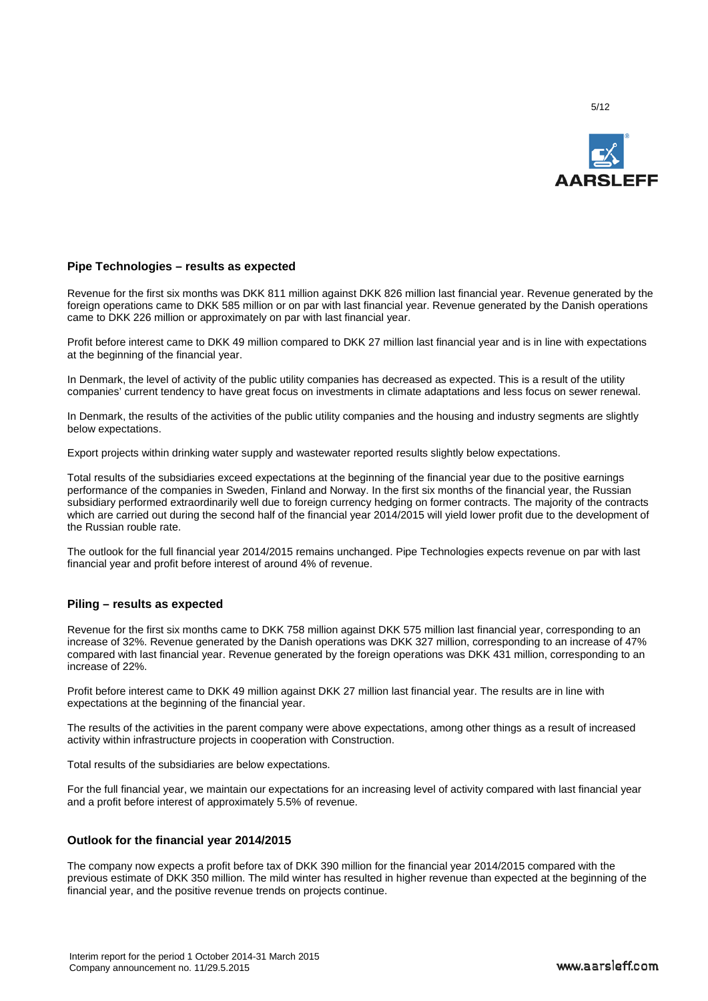

# **Pipe Technologies – results as expected**

Revenue for the first six months was DKK 811 million against DKK 826 million last financial year. Revenue generated by the foreign operations came to DKK 585 million or on par with last financial year. Revenue generated by the Danish operations came to DKK 226 million or approximately on par with last financial year.

Profit before interest came to DKK 49 million compared to DKK 27 million last financial year and is in line with expectations at the beginning of the financial year.

In Denmark, the level of activity of the public utility companies has decreased as expected. This is a result of the utility companies' current tendency to have great focus on investments in climate adaptations and less focus on sewer renewal.

In Denmark, the results of the activities of the public utility companies and the housing and industry segments are slightly below expectations.

Export projects within drinking water supply and wastewater reported results slightly below expectations.

Total results of the subsidiaries exceed expectations at the beginning of the financial year due to the positive earnings performance of the companies in Sweden, Finland and Norway. In the first six months of the financial year, the Russian subsidiary performed extraordinarily well due to foreign currency hedging on former contracts. The majority of the contracts which are carried out during the second half of the financial year 2014/2015 will yield lower profit due to the development of the Russian rouble rate.

The outlook for the full financial year 2014/2015 remains unchanged. Pipe Technologies expects revenue on par with last financial year and profit before interest of around 4% of revenue.

#### **Piling – results as expected**

Revenue for the first six months came to DKK 758 million against DKK 575 million last financial year, corresponding to an increase of 32%. Revenue generated by the Danish operations was DKK 327 million, corresponding to an increase of 47% compared with last financial year. Revenue generated by the foreign operations was DKK 431 million, corresponding to an increase of 22%.

Profit before interest came to DKK 49 million against DKK 27 million last financial year. The results are in line with expectations at the beginning of the financial year.

The results of the activities in the parent company were above expectations, among other things as a result of increased activity within infrastructure projects in cooperation with Construction.

Total results of the subsidiaries are below expectations.

For the full financial year, we maintain our expectations for an increasing level of activity compared with last financial year and a profit before interest of approximately 5.5% of revenue.

# **Outlook for the financial year 2014/2015**

The company now expects a profit before tax of DKK 390 million for the financial year 2014/2015 compared with the previous estimate of DKK 350 million. The mild winter has resulted in higher revenue than expected at the beginning of the financial year, and the positive revenue trends on projects continue.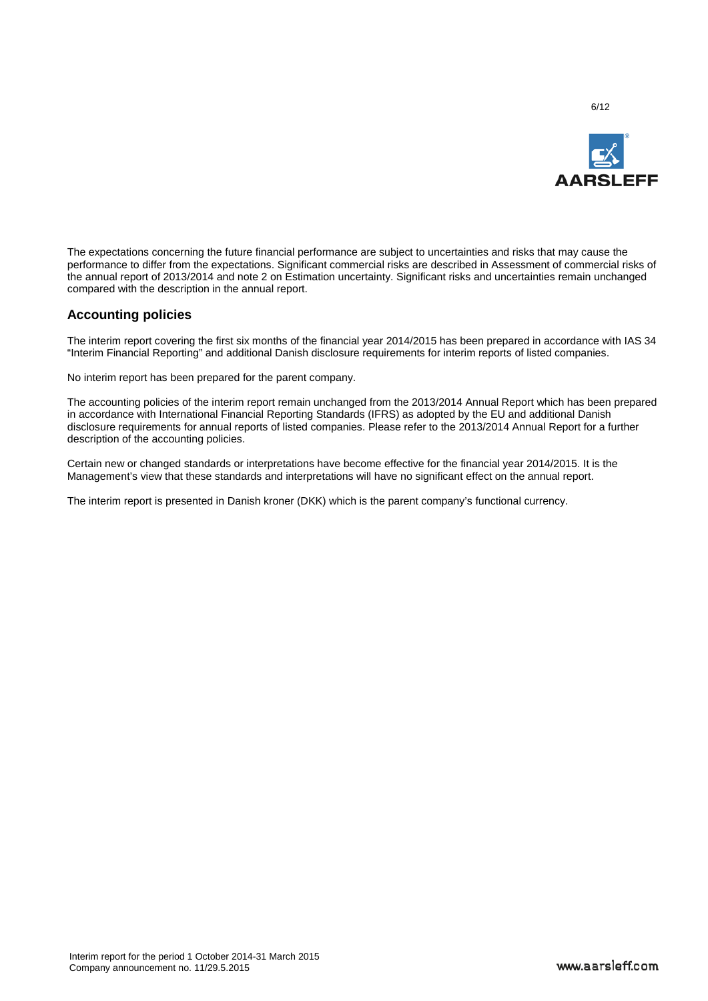

The expectations concerning the future financial performance are subject to uncertainties and risks that may cause the performance to differ from the expectations. Significant commercial risks are described in Assessment of commercial risks of the annual report of 2013/2014 and note 2 on Estimation uncertainty. Significant risks and uncertainties remain unchanged compared with the description in the annual report.

# **Accounting policies**

The interim report covering the first six months of the financial year 2014/2015 has been prepared in accordance with IAS 34 "Interim Financial Reporting" and additional Danish disclosure requirements for interim reports of listed companies.

No interim report has been prepared for the parent company.

The accounting policies of the interim report remain unchanged from the 2013/2014 Annual Report which has been prepared in accordance with International Financial Reporting Standards (IFRS) as adopted by the EU and additional Danish disclosure requirements for annual reports of listed companies. Please refer to the 2013/2014 Annual Report for a further description of the accounting policies.

Certain new or changed standards or interpretations have become effective for the financial year 2014/2015. It is the Management's view that these standards and interpretations will have no significant effect on the annual report.

The interim report is presented in Danish kroner (DKK) which is the parent company's functional currency.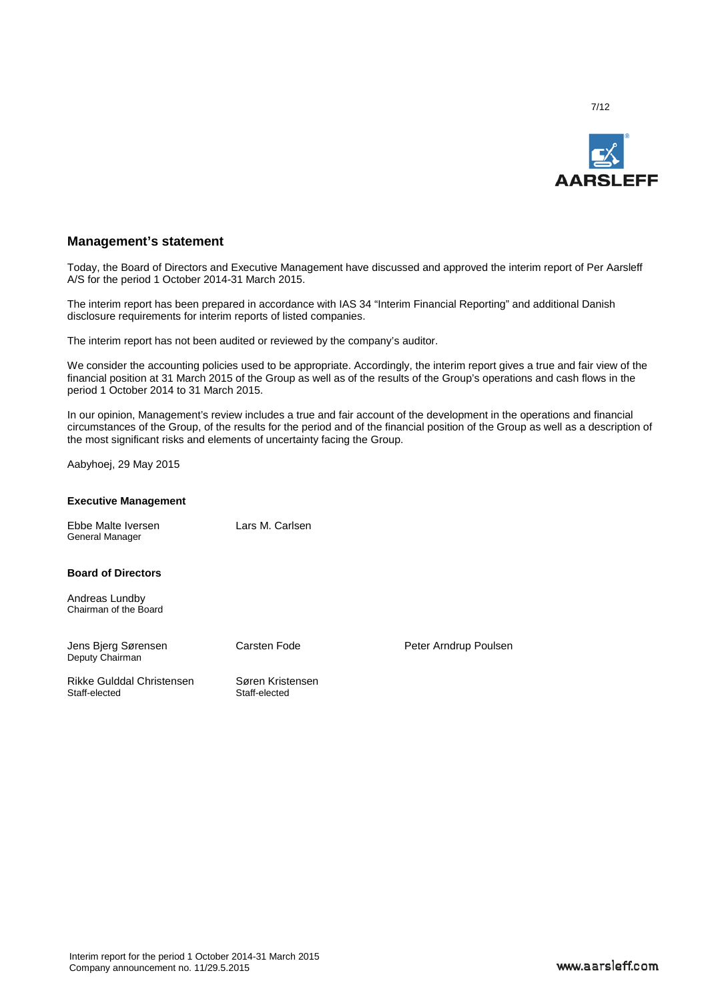

# **Management's statement**

Today, the Board of Directors and Executive Management have discussed and approved the interim report of Per Aarsleff A/S for the period 1 October 2014-31 March 2015.

The interim report has been prepared in accordance with IAS 34 "Interim Financial Reporting" and additional Danish disclosure requirements for interim reports of listed companies.

The interim report has not been audited or reviewed by the company's auditor.

We consider the accounting policies used to be appropriate. Accordingly, the interim report gives a true and fair view of the financial position at 31 March 2015 of the Group as well as of the results of the Group's operations and cash flows in the period 1 October 2014 to 31 March 2015.

In our opinion, Management's review includes a true and fair account of the development in the operations and financial circumstances of the Group, of the results for the period and of the financial position of the Group as well as a description of the most significant risks and elements of uncertainty facing the Group.

Aabyhoej, 29 May 2015

#### **Executive Management**

Ebbe Malte Iversen Lars M. Carlsen General Manager

**Board of Directors**

Andreas Lundby Chairman of the Board

Jens Bjerg Sørensen Carsten Fode Peter Arndrup Poulsen Deputy Chairman

Rikke Gulddal Christensen Søren Kristensen<br>Staff-elected Staff-elected

Staff-elected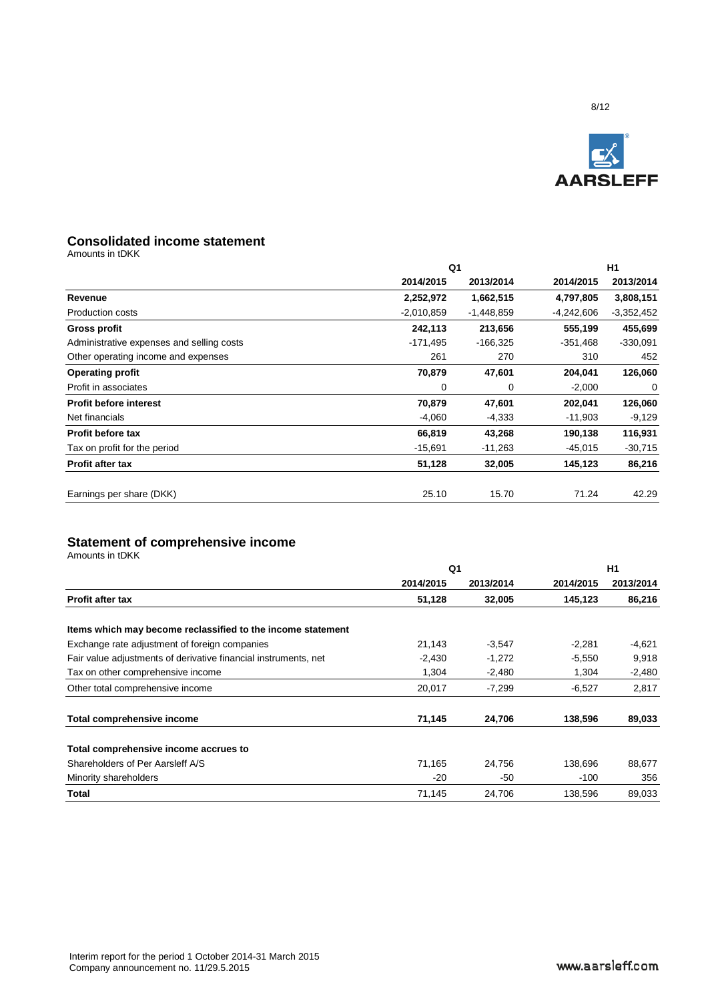

# **Consolidated income statement**

Amounts in tDKK

|              | H1           |            |              |
|--------------|--------------|------------|--------------|
| 2014/2015    | 2013/2014    | 2014/2015  | 2013/2014    |
| 2,252,972    | 1,662,515    | 4,797,805  | 3,808,151    |
| $-2,010,859$ | $-1,448,859$ | -4,242,606 | $-3,352,452$ |
| 242,113      | 213,656      | 555,199    | 455,699      |
| -171,495     | $-166,325$   | $-351,468$ | $-330,091$   |
| 261          | 270          | 310        | 452          |
| 70,879       | 47,601       | 204,041    | 126,060      |
| 0            | 0            | $-2,000$   | 0            |
| 70,879       | 47,601       | 202,041    | 126,060      |
| $-4,060$     | $-4,333$     | -11,903    | $-9,129$     |
| 66,819       | 43,268       | 190,138    | 116,931      |
| $-15,691$    | $-11,263$    | $-45,015$  | $-30,715$    |
| 51,128       | 32,005       | 145,123    | 86,216       |
| 25.10        | 15.70        | 71.24      | 42.29        |
|              |              | Q1         |              |

# **Statement of comprehensive income**

|                                                                 | Q1        |           | H1        |           |  |
|-----------------------------------------------------------------|-----------|-----------|-----------|-----------|--|
|                                                                 | 2014/2015 | 2013/2014 | 2014/2015 | 2013/2014 |  |
| <b>Profit after tax</b>                                         | 51,128    | 32,005    | 145,123   | 86,216    |  |
| Items which may become reclassified to the income statement     |           |           |           |           |  |
| Exchange rate adjustment of foreign companies                   | 21,143    | $-3,547$  | $-2,281$  | $-4,621$  |  |
| Fair value adjustments of derivative financial instruments, net | $-2,430$  | $-1,272$  | $-5,550$  | 9,918     |  |
| Tax on other comprehensive income                               | 1,304     | $-2,480$  | 1,304     | $-2,480$  |  |
| Other total comprehensive income                                | 20,017    | $-7,299$  | $-6,527$  | 2,817     |  |
| <b>Total comprehensive income</b>                               | 71,145    | 24,706    | 138,596   | 89,033    |  |
| Total comprehensive income accrues to                           |           |           |           |           |  |
| Shareholders of Per Aarsleff A/S                                | 71,165    | 24,756    | 138,696   | 88,677    |  |
| Minority shareholders                                           | $-20$     | -50       | $-100$    | 356       |  |
| Total                                                           | 71,145    | 24,706    | 138,596   | 89,033    |  |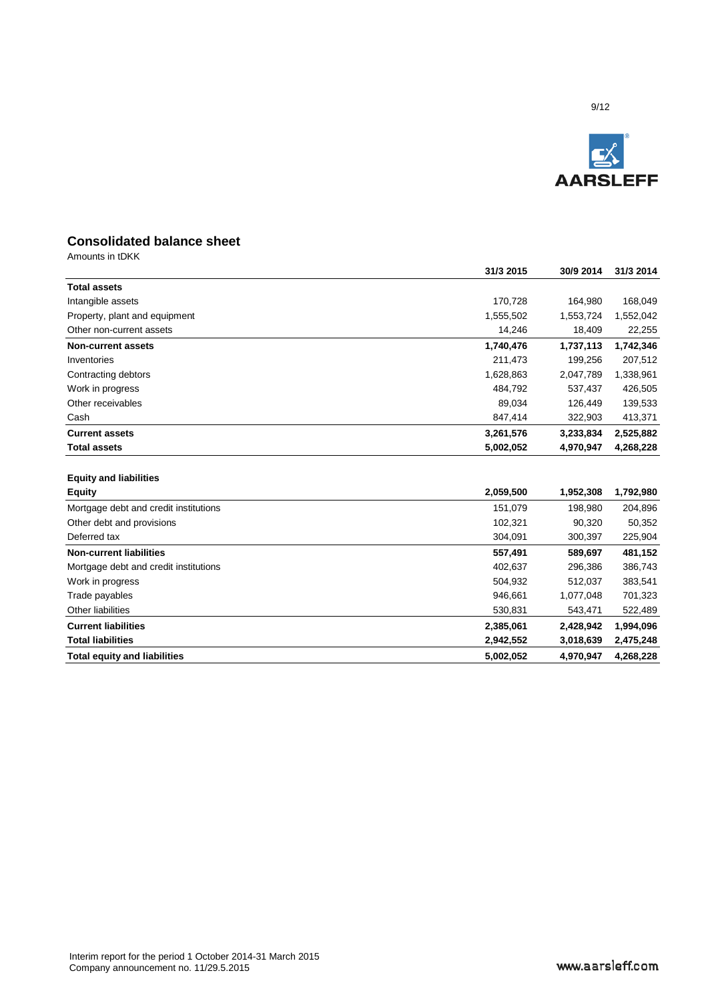

# **Consolidated balance sheet**

|                                       | 31/3 2015 | 30/9 2014 | 31/3 2014 |
|---------------------------------------|-----------|-----------|-----------|
| <b>Total assets</b>                   |           |           |           |
| Intangible assets                     | 170,728   | 164,980   | 168,049   |
| Property, plant and equipment         | 1,555,502 | 1,553,724 | 1,552,042 |
| Other non-current assets              | 14,246    | 18,409    | 22,255    |
| <b>Non-current assets</b>             | 1,740,476 | 1,737,113 | 1,742,346 |
| Inventories                           | 211,473   | 199,256   | 207,512   |
| Contracting debtors                   | 1,628,863 | 2,047,789 | 1,338,961 |
| Work in progress                      | 484,792   | 537,437   | 426,505   |
| Other receivables                     | 89,034    | 126,449   | 139,533   |
| Cash                                  | 847,414   | 322,903   | 413,371   |
| <b>Current assets</b>                 | 3,261,576 | 3,233,834 | 2,525,882 |
| <b>Total assets</b>                   | 5,002,052 | 4,970,947 | 4,268,228 |
|                                       |           |           |           |
| <b>Equity and liabilities</b>         |           |           |           |
| <b>Equity</b>                         | 2,059,500 | 1,952,308 | 1,792,980 |
| Mortgage debt and credit institutions | 151,079   | 198,980   | 204,896   |
| Other debt and provisions             | 102,321   | 90,320    | 50,352    |
| Deferred tax                          | 304,091   | 300,397   | 225,904   |
| <b>Non-current liabilities</b>        | 557,491   | 589,697   | 481,152   |
| Mortgage debt and credit institutions | 402,637   | 296,386   | 386,743   |
| Work in progress                      | 504,932   | 512,037   | 383,541   |
| Trade payables                        | 946,661   | 1,077,048 | 701,323   |
| Other liabilities                     | 530,831   | 543,471   | 522,489   |
| <b>Current liabilities</b>            | 2,385,061 | 2,428,942 | 1,994,096 |
| <b>Total liabilities</b>              | 2,942,552 | 3,018,639 | 2,475,248 |
| <b>Total equity and liabilities</b>   | 5,002,052 | 4,970,947 | 4,268,228 |
|                                       |           |           |           |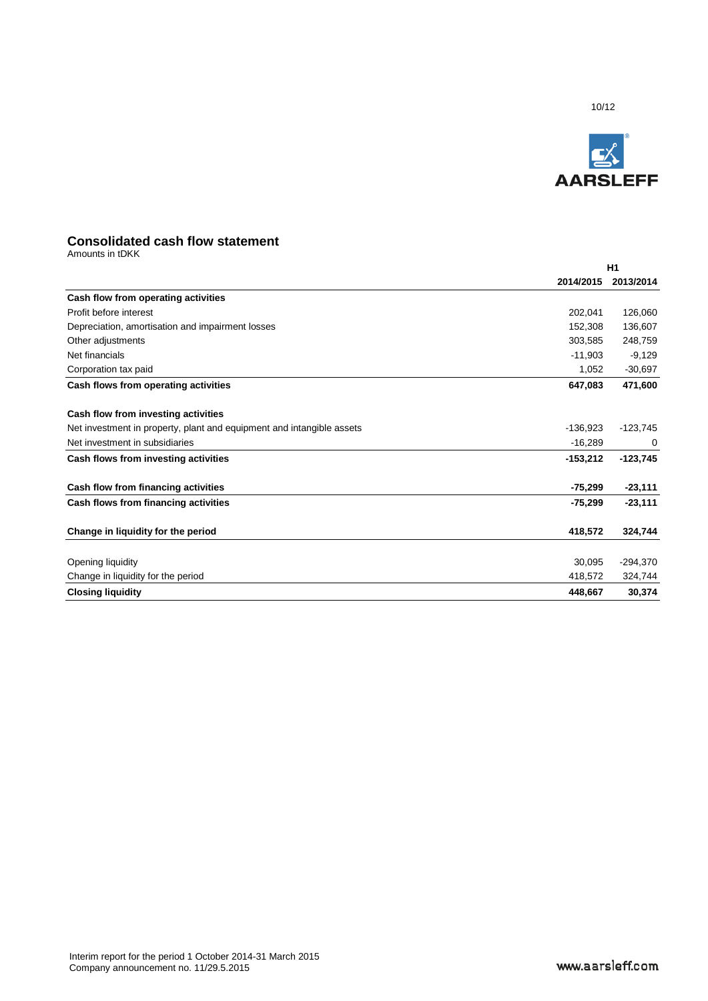

# **Consolidated cash flow statement**

|                                                                       |            | H1         |
|-----------------------------------------------------------------------|------------|------------|
|                                                                       | 2014/2015  | 2013/2014  |
| Cash flow from operating activities                                   |            |            |
| Profit before interest                                                | 202,041    | 126,060    |
| Depreciation, amortisation and impairment losses                      | 152,308    | 136,607    |
| Other adjustments                                                     | 303,585    | 248,759    |
| Net financials                                                        | $-11,903$  | $-9,129$   |
| Corporation tax paid                                                  | 1,052      | $-30,697$  |
| Cash flows from operating activities                                  | 647,083    | 471,600    |
| Cash flow from investing activities                                   |            |            |
| Net investment in property, plant and equipment and intangible assets | $-136,923$ | $-123,745$ |
| Net investment in subsidiaries                                        | $-16,289$  | 0          |
| Cash flows from investing activities                                  | $-153,212$ | $-123,745$ |
| Cash flow from financing activities                                   | $-75,299$  | $-23,111$  |
| Cash flows from financing activities                                  | $-75,299$  | $-23,111$  |
| Change in liquidity for the period                                    | 418,572    | 324,744    |
|                                                                       |            |            |
| Opening liquidity                                                     | 30.095     | $-294,370$ |
| Change in liquidity for the period                                    | 418,572    | 324,744    |
| <b>Closing liquidity</b>                                              | 448,667    | 30,374     |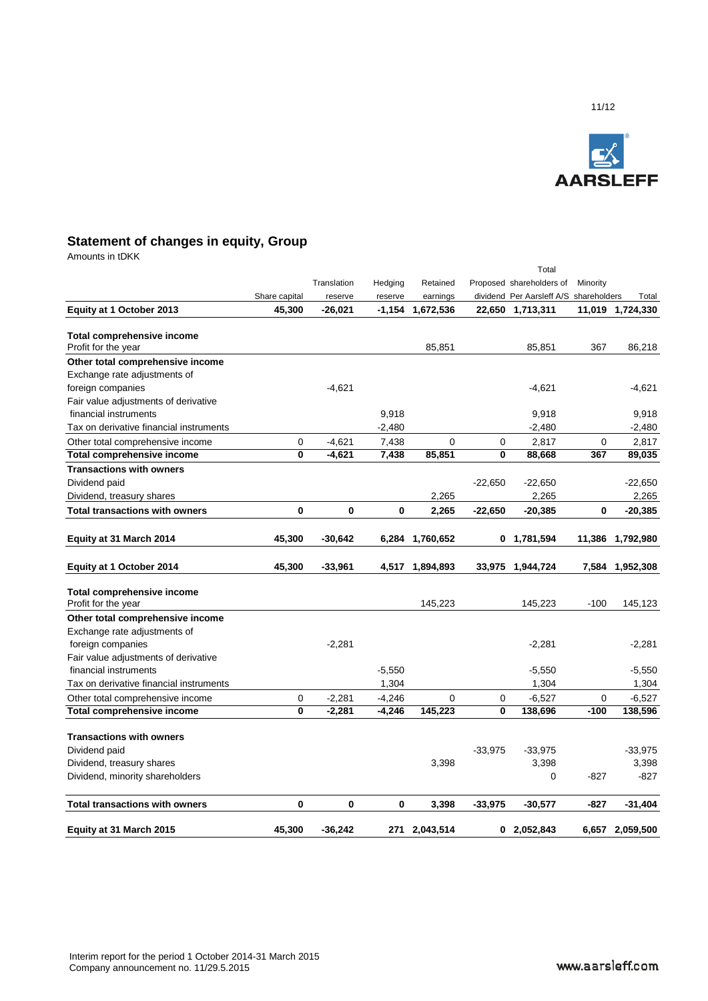

# **Statement of changes in equity, Group**

|                                         |               |             |          |                  |           | Total                                  |             |                  |
|-----------------------------------------|---------------|-------------|----------|------------------|-----------|----------------------------------------|-------------|------------------|
|                                         |               | Translation | Hedging  | Retained         |           | Proposed shareholders of               | Minority    |                  |
|                                         | Share capital | reserve     | reserve  | earnings         |           | dividend Per Aarsleff A/S shareholders |             | Total            |
| Equity at 1 October 2013                | 45,300        | $-26,021$   |          | -1,154 1,672,536 |           | 22,650 1,713,311                       |             | 11,019 1,724,330 |
| <b>Total comprehensive income</b>       |               |             |          |                  |           |                                        |             |                  |
| Profit for the year                     |               |             |          | 85,851           |           | 85,851                                 | 367         | 86,218           |
| Other total comprehensive income        |               |             |          |                  |           |                                        |             |                  |
| Exchange rate adjustments of            |               |             |          |                  |           |                                        |             |                  |
| foreign companies                       |               | $-4,621$    |          |                  |           | $-4,621$                               |             | $-4,621$         |
| Fair value adjustments of derivative    |               |             |          |                  |           |                                        |             |                  |
| financial instruments                   |               |             | 9,918    |                  |           | 9,918                                  |             | 9,918            |
| Tax on derivative financial instruments |               |             | $-2,480$ |                  |           | $-2,480$                               |             | $-2,480$         |
| Other total comprehensive income        | 0             | $-4,621$    | 7,438    | $\mathbf 0$      | 0         | 2,817                                  | 0           | 2,817            |
| <b>Total comprehensive income</b>       | 0             | $-4,621$    | 7,438    | 85,851           | 0         | 88,668                                 | 367         | 89,035           |
| <b>Transactions with owners</b>         |               |             |          |                  |           |                                        |             |                  |
| Dividend paid                           |               |             |          |                  | $-22,650$ | $-22,650$                              |             | $-22,650$        |
| Dividend, treasury shares               |               |             |          | 2,265            |           | 2,265                                  |             | 2,265            |
| <b>Total transactions with owners</b>   | 0             | 0           | 0        | 2,265            | $-22,650$ | $-20,385$                              | $\bf{0}$    | $-20,385$        |
|                                         |               |             |          |                  |           |                                        |             |                  |
| Equity at 31 March 2014                 | 45,300        | $-30,642$   | 6,284    | 1,760,652        |           | 0 1,781,594                            | 11,386      | 1,792,980        |
| Equity at 1 October 2014                | 45,300        | $-33,961$   | 4,517    | 1,894,893        | 33,975    | 1,944,724                              | 7,584       | 1,952,308        |
| <b>Total comprehensive income</b>       |               |             |          |                  |           |                                        |             |                  |
| Profit for the year                     |               |             |          | 145,223          |           | 145,223                                | $-100$      | 145,123          |
| Other total comprehensive income        |               |             |          |                  |           |                                        |             |                  |
| Exchange rate adjustments of            |               |             |          |                  |           |                                        |             |                  |
| foreign companies                       |               | $-2,281$    |          |                  |           | $-2,281$                               |             | $-2,281$         |
| Fair value adjustments of derivative    |               |             |          |                  |           |                                        |             |                  |
| financial instruments                   |               |             | $-5,550$ |                  |           | $-5,550$                               |             | $-5,550$         |
| Tax on derivative financial instruments |               |             | 1,304    |                  |           | 1,304                                  |             | 1,304            |
| Other total comprehensive income        | $\mathbf 0$   | $-2,281$    | $-4,246$ | $\mathbf 0$      | 0         | $-6,527$                               | $\mathbf 0$ | $-6,527$         |
| Total comprehensive income              | $\bf{0}$      | $-2,281$    | $-4,246$ | 145,223          | 0         | 138,696                                | $-100$      | 138,596          |
| <b>Transactions with owners</b>         |               |             |          |                  |           |                                        |             |                  |
| Dividend paid                           |               |             |          |                  | $-33,975$ | $-33,975$                              |             | $-33,975$        |
| Dividend, treasury shares               |               |             |          | 3,398            |           | 3,398                                  |             | 3,398            |
| Dividend, minority shareholders         |               |             |          |                  |           | 0                                      | $-827$      | $-827$           |
|                                         |               |             |          |                  |           |                                        |             |                  |
| <b>Total transactions with owners</b>   | $\mathbf 0$   | $\mathbf 0$ | 0        | 3,398            | $-33,975$ | $-30,577$                              | -827        | $-31,404$        |
| Equity at 31 March 2015                 | 45,300        | $-36,242$   | 271      | 2,043,514        |           | 02,052,843                             |             | 6,657 2,059,500  |
|                                         |               |             |          |                  |           |                                        |             |                  |